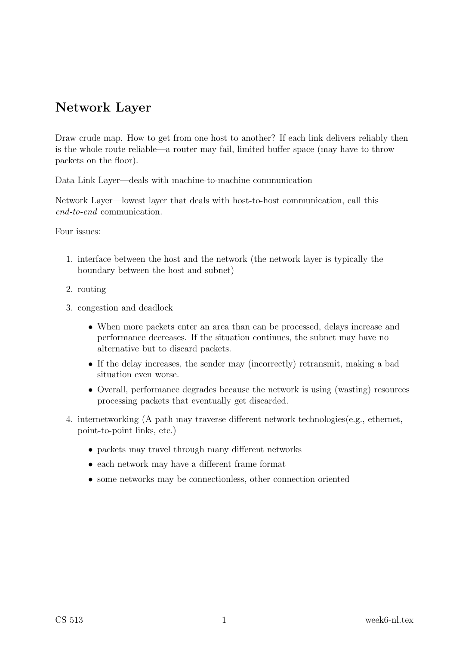# Network Layer

Draw crude map. How to get from one host to another? If each link delivers reliably then is the whole route reliable—a router may fail, limited buffer space (may have to throw packets on the floor).

Data Link Layer—deals with machine-to-machine communication

Network Layer—lowest layer that deals with host-to-host communication, call this end-to-end communication.

Four issues:

- 1. interface between the host and the network (the network layer is typically the boundary between the host and subnet)
- 2. routing
- 3. congestion and deadlock
	- When more packets enter an area than can be processed, delays increase and performance decreases. If the situation continues, the subnet may have no alternative but to discard packets.
	- If the delay increases, the sender may (incorrectly) retransmit, making a bad situation even worse.
	- Overall, performance degrades because the network is using (wasting) resources processing packets that eventually get discarded.
- 4. internetworking (A path may traverse different network technologies(e.g., ethernet, point-to-point links, etc.)
	- packets may travel through many different networks
	- each network may have a different frame format
	- some networks may be connectionless, other connection oriented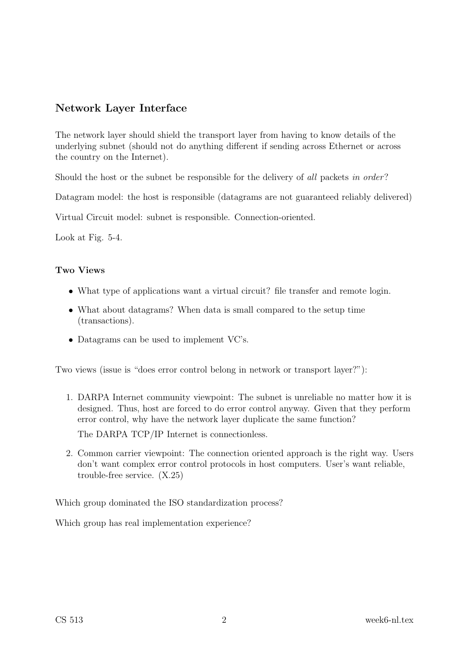### Network Layer Interface

The network layer should shield the transport layer from having to know details of the underlying subnet (should not do anything different if sending across Ethernet or across the country on the Internet).

Should the host or the subnet be responsible for the delivery of all packets in order?

Datagram model: the host is responsible (datagrams are not guaranteed reliably delivered)

Virtual Circuit model: subnet is responsible. Connection-oriented.

Look at Fig. 5-4.

#### Two Views

- What type of applications want a virtual circuit? file transfer and remote login.
- What about datagrams? When data is small compared to the setup time (transactions).
- Datagrams can be used to implement VC's.

Two views (issue is "does error control belong in network or transport layer?"):

1. DARPA Internet community viewpoint: The subnet is unreliable no matter how it is designed. Thus, host are forced to do error control anyway. Given that they perform error control, why have the network layer duplicate the same function? The DARPA TCP/IP Internet is connectionless.

2. Common carrier viewpoint: The connection oriented approach is the right way. Users don't want complex error control protocols in host computers. User's want reliable,

Which group dominated the ISO standardization process?

Which group has real implementation experience?

trouble-free service. (X.25)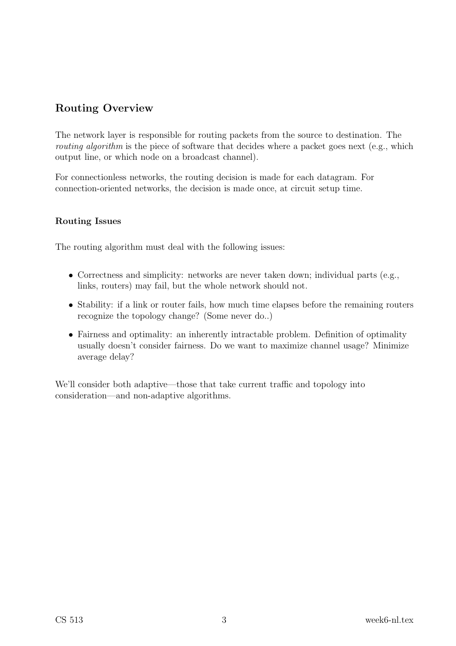# Routing Overview

The network layer is responsible for routing packets from the source to destination. The routing algorithm is the piece of software that decides where a packet goes next (e.g., which output line, or which node on a broadcast channel).

For connectionless networks, the routing decision is made for each datagram. For connection-oriented networks, the decision is made once, at circuit setup time.

### Routing Issues

The routing algorithm must deal with the following issues:

- Correctness and simplicity: networks are never taken down; individual parts (e.g., links, routers) may fail, but the whole network should not.
- Stability: if a link or router fails, how much time elapses before the remaining routers recognize the topology change? (Some never do..)
- Fairness and optimality: an inherently intractable problem. Definition of optimality usually doesn't consider fairness. Do we want to maximize channel usage? Minimize average delay?

We'll consider both adaptive—those that take current traffic and topology into consideration—and non-adaptive algorithms.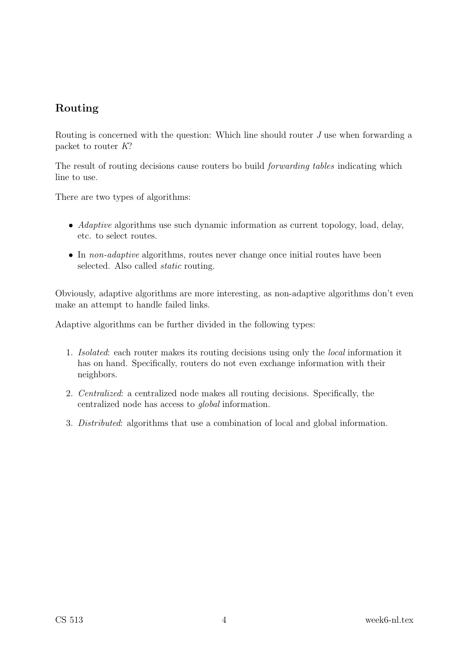### Routing

Routing is concerned with the question: Which line should router J use when forwarding a packet to router K?

The result of routing decisions cause routers bo build forwarding tables indicating which line to use.

There are two types of algorithms:

- *Adaptive* algorithms use such dynamic information as current topology, load, delay, etc. to select routes.
- In *non-adaptive* algorithms, routes never change once initial routes have been selected. Also called static routing.

Obviously, adaptive algorithms are more interesting, as non-adaptive algorithms don't even make an attempt to handle failed links.

Adaptive algorithms can be further divided in the following types:

- 1. Isolated: each router makes its routing decisions using only the local information it has on hand. Specifically, routers do not even exchange information with their neighbors.
- 2. Centralized: a centralized node makes all routing decisions. Specifically, the centralized node has access to global information.
- 3. Distributed: algorithms that use a combination of local and global information.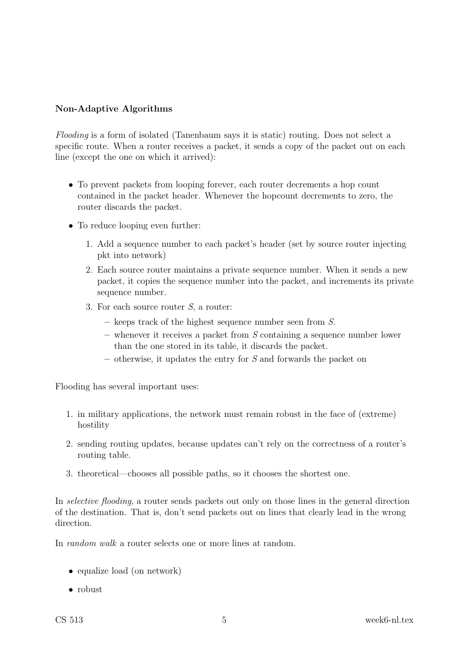#### Non-Adaptive Algorithms

Flooding is a form of isolated (Tanenbaum says it is static) routing. Does not select a specific route. When a router receives a packet, it sends a copy of the packet out on each line (except the one on which it arrived):

- To prevent packets from looping forever, each router decrements a hop count contained in the packet header. Whenever the hopcount decrements to zero, the router discards the packet.
- To reduce looping even further:
	- 1. Add a sequence number to each packet's header (set by source router injecting pkt into network)
	- 2. Each source router maintains a private sequence number. When it sends a new packet, it copies the sequence number into the packet, and increments its private sequence number.
	- 3. For each source router S, a router:
		- keeps track of the highest sequence number seen from S.
		- $-$  whenever it receives a packet from  $S$  containing a sequence number lower than the one stored in its table, it discards the packet.
		- $\overline{\phantom{a}}$  otherwise, it updates the entry for S and forwards the packet on

Flooding has several important uses:

- 1. in military applications, the network must remain robust in the face of (extreme) hostility
- 2. sending routing updates, because updates can't rely on the correctness of a router's routing table.
- 3. theoretical—chooses all possible paths, so it chooses the shortest one.

In selective flooding, a router sends packets out only on those lines in the general direction of the destination. That is, don't send packets out on lines that clearly lead in the wrong direction.

In random walk a router selects one or more lines at random.

- equalize load (on network)
- robust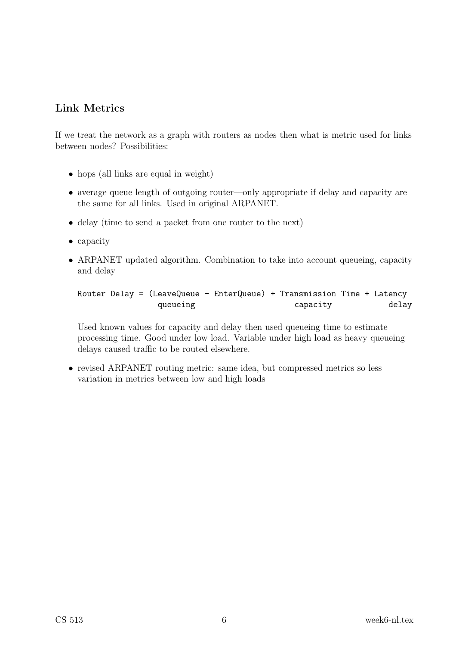### Link Metrics

If we treat the network as a graph with routers as nodes then what is metric used for links between nodes? Possibilities:

- hops (all links are equal in weight)
- average queue length of outgoing router—only appropriate if delay and capacity are the same for all links. Used in original ARPANET.
- delay (time to send a packet from one router to the next)
- capacity
- ARPANET updated algorithm. Combination to take into account queueing, capacity and delay

```
Router Delay = (LeaveQueue - EnterQueue) + Transmission Time + Latency
queueing capacity delay
```
Used known values for capacity and delay then used queueing time to estimate processing time. Good under low load. Variable under high load as heavy queueing delays caused traffic to be routed elsewhere.

• revised ARPANET routing metric: same idea, but compressed metrics so less variation in metrics between low and high loads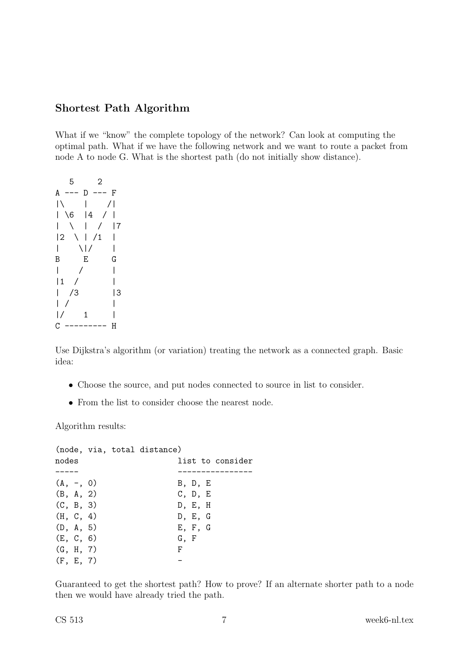### Shortest Path Algorithm

What if we "know" the complete topology of the network? Can look at computing the optimal path. What if we have the following network and we want to route a packet from node A to node G. What is the shortest path (do not initially show distance).

| 5                        | 2                        |
|--------------------------|--------------------------|
| A<br>D                   | F                        |
|                          | $\overline{\phantom{a}}$ |
| 4<br>6                   |                          |
|                          | 7                        |
| 2                        | /1                       |
| $\mathsf{l}$<br>$\prime$ |                          |
| E<br>B                   | G                        |
|                          |                          |
| $\mathbf{1}$             |                          |
| /3                       | 3                        |
|                          |                          |
| 1                        |                          |
| С                        | Н                        |

Use Dijkstra's algorithm (or variation) treating the network as a connected graph. Basic idea:

- Choose the source, and put nodes connected to source in list to consider.
- From the list to consider choose the nearest node.

Algorithm results:

|             |  | (node, via, total distance) |                  |  |
|-------------|--|-----------------------------|------------------|--|
| nodes       |  |                             | list to consider |  |
|             |  |                             |                  |  |
| $(A, -, 0)$ |  |                             | B, D, E          |  |
| (B, A, 2)   |  |                             | C, D, E          |  |
| (C, B, 3)   |  |                             | D, E, H          |  |
| (H, C, 4)   |  |                             | D, E, G          |  |
| (D, A, 5)   |  |                             | E, F, G          |  |
| (E, C, 6)   |  |                             | G, F             |  |
| (G, H, 7)   |  |                             | F.               |  |
| (F, E, 7)   |  |                             |                  |  |

Guaranteed to get the shortest path? How to prove? If an alternate shorter path to a node then we would have already tried the path.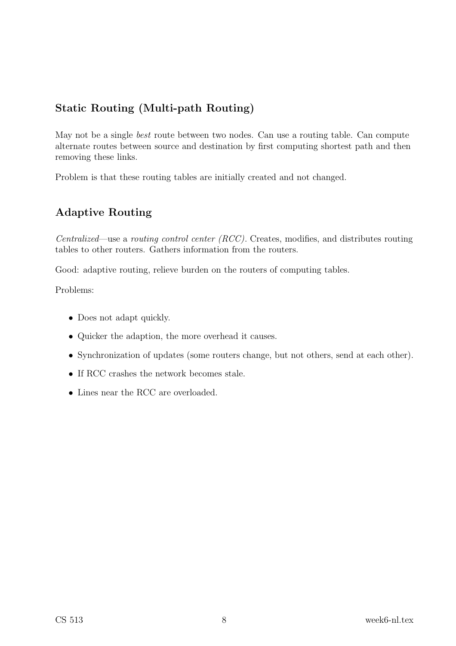# Static Routing (Multi-path Routing)

May not be a single *best* route between two nodes. Can use a routing table. Can compute alternate routes between source and destination by first computing shortest path and then removing these links.

Problem is that these routing tables are initially created and not changed.

# Adaptive Routing

Centralized—use a routing control center (RCC). Creates, modifies, and distributes routing tables to other routers. Gathers information from the routers.

Good: adaptive routing, relieve burden on the routers of computing tables.

Problems:

- Does not adapt quickly.
- Quicker the adaption, the more overhead it causes.
- Synchronization of updates (some routers change, but not others, send at each other).
- If RCC crashes the network becomes stale.
- Lines near the RCC are overloaded.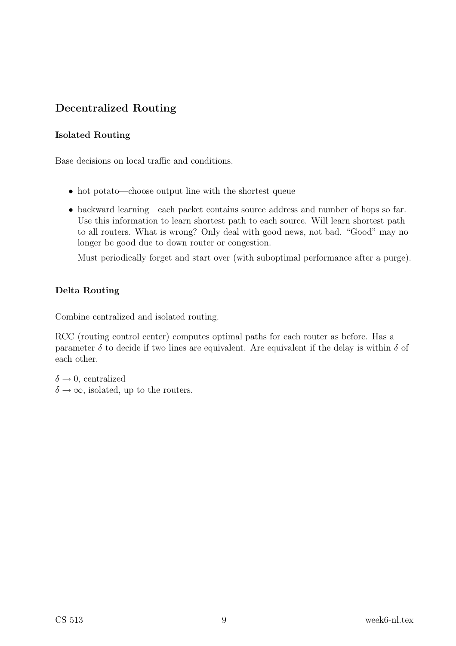# Decentralized Routing

### Isolated Routing

Base decisions on local traffic and conditions.

- hot potato—choose output line with the shortest queue
- backward learning—each packet contains source address and number of hops so far. Use this information to learn shortest path to each source. Will learn shortest path to all routers. What is wrong? Only deal with good news, not bad. "Good" may no longer be good due to down router or congestion.

Must periodically forget and start over (with suboptimal performance after a purge).

### Delta Routing

Combine centralized and isolated routing.

RCC (routing control center) computes optimal paths for each router as before. Has a parameter  $\delta$  to decide if two lines are equivalent. Are equivalent if the delay is within  $\delta$  of each other.

 $\delta \rightarrow 0$ , centralized  $\delta \rightarrow \infty$ , isolated, up to the routers.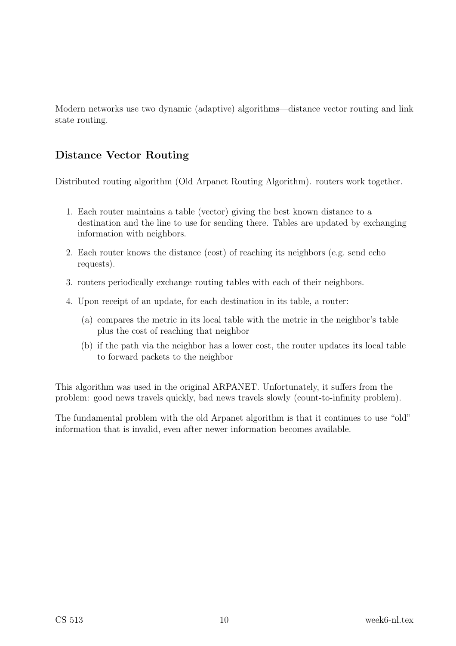Modern networks use two dynamic (adaptive) algorithms—distance vector routing and link state routing.

# Distance Vector Routing

Distributed routing algorithm (Old Arpanet Routing Algorithm). routers work together.

- 1. Each router maintains a table (vector) giving the best known distance to a destination and the line to use for sending there. Tables are updated by exchanging information with neighbors.
- 2. Each router knows the distance (cost) of reaching its neighbors (e.g. send echo requests).
- 3. routers periodically exchange routing tables with each of their neighbors.
- 4. Upon receipt of an update, for each destination in its table, a router:
	- (a) compares the metric in its local table with the metric in the neighbor's table plus the cost of reaching that neighbor
	- (b) if the path via the neighbor has a lower cost, the router updates its local table to forward packets to the neighbor

This algorithm was used in the original ARPANET. Unfortunately, it suffers from the problem: good news travels quickly, bad news travels slowly (count-to-infinity problem).

The fundamental problem with the old Arpanet algorithm is that it continues to use "old" information that is invalid, even after newer information becomes available.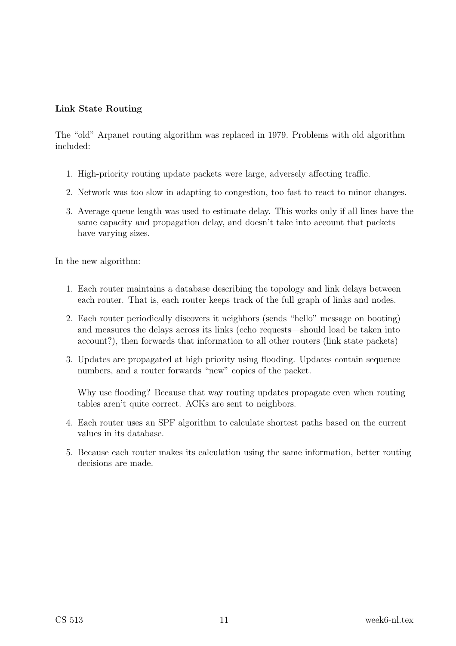#### Link State Routing

The "old" Arpanet routing algorithm was replaced in 1979. Problems with old algorithm included:

- 1. High-priority routing update packets were large, adversely affecting traffic.
- 2. Network was too slow in adapting to congestion, too fast to react to minor changes.
- 3. Average queue length was used to estimate delay. This works only if all lines have the same capacity and propagation delay, and doesn't take into account that packets have varying sizes.

In the new algorithm:

- 1. Each router maintains a database describing the topology and link delays between each router. That is, each router keeps track of the full graph of links and nodes.
- 2. Each router periodically discovers it neighbors (sends "hello" message on booting) and measures the delays across its links (echo requests—should load be taken into account?), then forwards that information to all other routers (link state packets)
- 3. Updates are propagated at high priority using flooding. Updates contain sequence numbers, and a router forwards "new" copies of the packet.

Why use flooding? Because that way routing updates propagate even when routing tables aren't quite correct. ACKs are sent to neighbors.

- 4. Each router uses an SPF algorithm to calculate shortest paths based on the current values in its database.
- 5. Because each router makes its calculation using the same information, better routing decisions are made.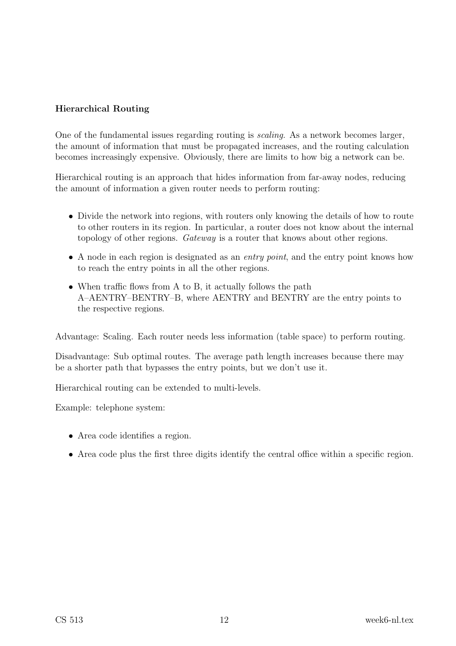#### Hierarchical Routing

One of the fundamental issues regarding routing is scaling. As a network becomes larger, the amount of information that must be propagated increases, and the routing calculation becomes increasingly expensive. Obviously, there are limits to how big a network can be.

Hierarchical routing is an approach that hides information from far-away nodes, reducing the amount of information a given router needs to perform routing:

- Divide the network into regions, with routers only knowing the details of how to route to other routers in its region. In particular, a router does not know about the internal topology of other regions. Gateway is a router that knows about other regions.
- A node in each region is designated as an *entry point*, and the entry point knows how to reach the entry points in all the other regions.
- When traffic flows from A to B, it actually follows the path A–AENTRY–BENTRY–B, where AENTRY and BENTRY are the entry points to the respective regions.

Advantage: Scaling. Each router needs less information (table space) to perform routing.

Disadvantage: Sub optimal routes. The average path length increases because there may be a shorter path that bypasses the entry points, but we don't use it.

Hierarchical routing can be extended to multi-levels.

Example: telephone system:

- Area code identifies a region.
- Area code plus the first three digits identify the central office within a specific region.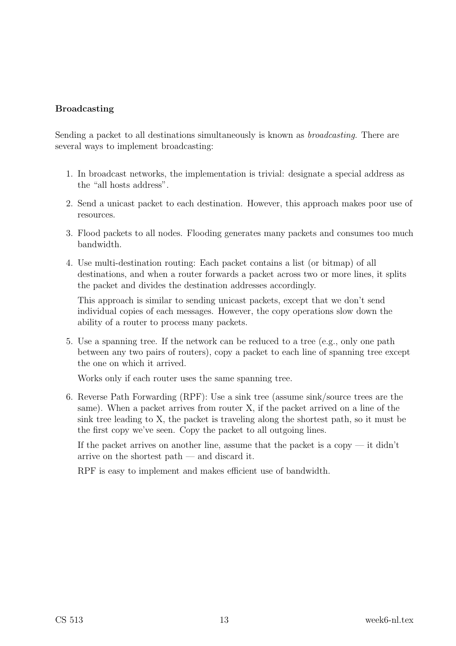#### Broadcasting

Sending a packet to all destinations simultaneously is known as broadcasting. There are several ways to implement broadcasting:

- 1. In broadcast networks, the implementation is trivial: designate a special address as the "all hosts address".
- 2. Send a unicast packet to each destination. However, this approach makes poor use of resources.
- 3. Flood packets to all nodes. Flooding generates many packets and consumes too much bandwidth.
- 4. Use multi-destination routing: Each packet contains a list (or bitmap) of all destinations, and when a router forwards a packet across two or more lines, it splits the packet and divides the destination addresses accordingly.

This approach is similar to sending unicast packets, except that we don't send individual copies of each messages. However, the copy operations slow down the ability of a router to process many packets.

5. Use a spanning tree. If the network can be reduced to a tree (e.g., only one path between any two pairs of routers), copy a packet to each line of spanning tree except the one on which it arrived.

Works only if each router uses the same spanning tree.

6. Reverse Path Forwarding (RPF): Use a sink tree (assume sink/source trees are the same). When a packet arrives from router X, if the packet arrived on a line of the sink tree leading to X, the packet is traveling along the shortest path, so it must be the first copy we've seen. Copy the packet to all outgoing lines.

If the packet arrives on another line, assume that the packet is a copy  $-$  it didn't arrive on the shortest path — and discard it.

RPF is easy to implement and makes efficient use of bandwidth.